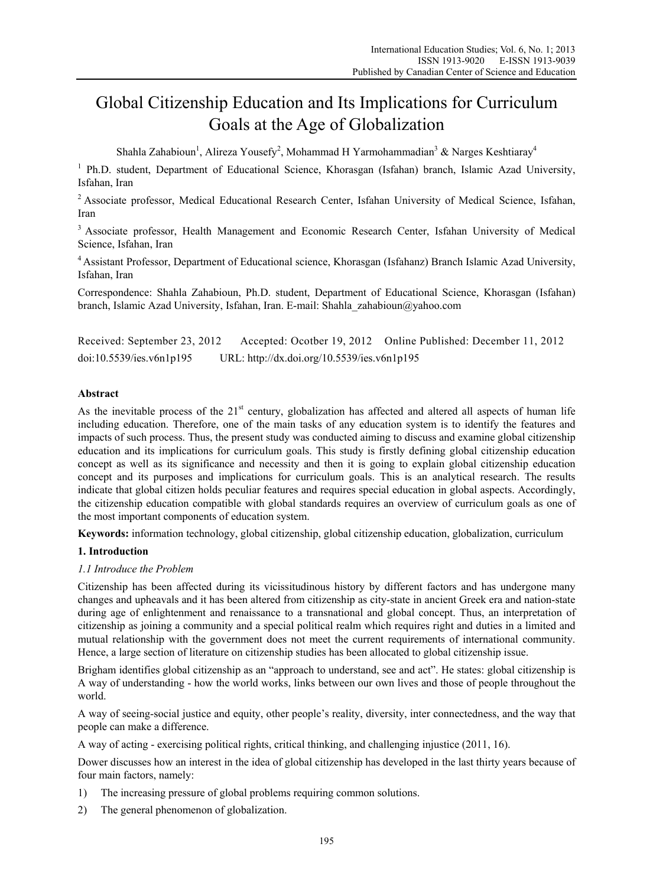# Global Citizenship Education and Its Implications for Curriculum Goals at the Age of Globalization

Shahla Zahabioun<sup>1</sup>, Alireza Yousefy<sup>2</sup>, Mohammad H Yarmohammadian<sup>3</sup> & Narges Keshtiaray<sup>4</sup>

<sup>1</sup> Ph.D. student, Department of Educational Science, Khorasgan (Isfahan) branch, Islamic Azad University, Isfahan, Iran

<sup>2</sup> Associate professor, Medical Educational Research Center, Isfahan University of Medical Science, Isfahan, Iran

<sup>3</sup> Associate professor, Health Management and Economic Research Center, Isfahan University of Medical Science, Isfahan, Iran

4 Assistant Professor, Department of Educational science, Khorasgan (Isfahanz) Branch Islamic Azad University, Isfahan, Iran

Correspondence: Shahla Zahabioun, Ph.D. student, Department of Educational Science, Khorasgan (Isfahan) branch, Islamic Azad University, Isfahan, Iran. E-mail: Shahla\_zahabioun@yahoo.com

Received: September 23, 2012 Accepted: Ocotber 19, 2012 Online Published: December 11, 2012 doi:10.5539/ies.v6n1p195 URL: http://dx.doi.org/10.5539/ies.v6n1p195

# **Abstract**

As the inevitable process of the  $21<sup>st</sup>$  century, globalization has affected and altered all aspects of human life including education. Therefore, one of the main tasks of any education system is to identify the features and impacts of such process. Thus, the present study was conducted aiming to discuss and examine global citizenship education and its implications for curriculum goals. This study is firstly defining global citizenship education concept as well as its significance and necessity and then it is going to explain global citizenship education concept and its purposes and implications for curriculum goals. This is an analytical research. The results indicate that global citizen holds peculiar features and requires special education in global aspects. Accordingly, the citizenship education compatible with global standards requires an overview of curriculum goals as one of the most important components of education system.

**Keywords:** information technology, global citizenship, global citizenship education, globalization, curriculum

# **1. Introduction**

## *1.1 Introduce the Problem*

Citizenship has been affected during its vicissitudinous history by different factors and has undergone many changes and upheavals and it has been altered from citizenship as city-state in ancient Greek era and nation-state during age of enlightenment and renaissance to a transnational and global concept. Thus, an interpretation of citizenship as joining a community and a special political realm which requires right and duties in a limited and mutual relationship with the government does not meet the current requirements of international community. Hence, a large section of literature on citizenship studies has been allocated to global citizenship issue.

Brigham identifies global citizenship as an "approach to understand, see and act". He states: global citizenship is A way of understanding - how the world works, links between our own lives and those of people throughout the world.

A way of seeing-social justice and equity, other people's reality, diversity, inter connectedness, and the way that people can make a difference.

A way of acting - exercising political rights, critical thinking, and challenging injustice (2011, 16).

Dower discusses how an interest in the idea of global citizenship has developed in the last thirty years because of four main factors, namely:

- 1) The increasing pressure of global problems requiring common solutions.
- 2) The general phenomenon of globalization.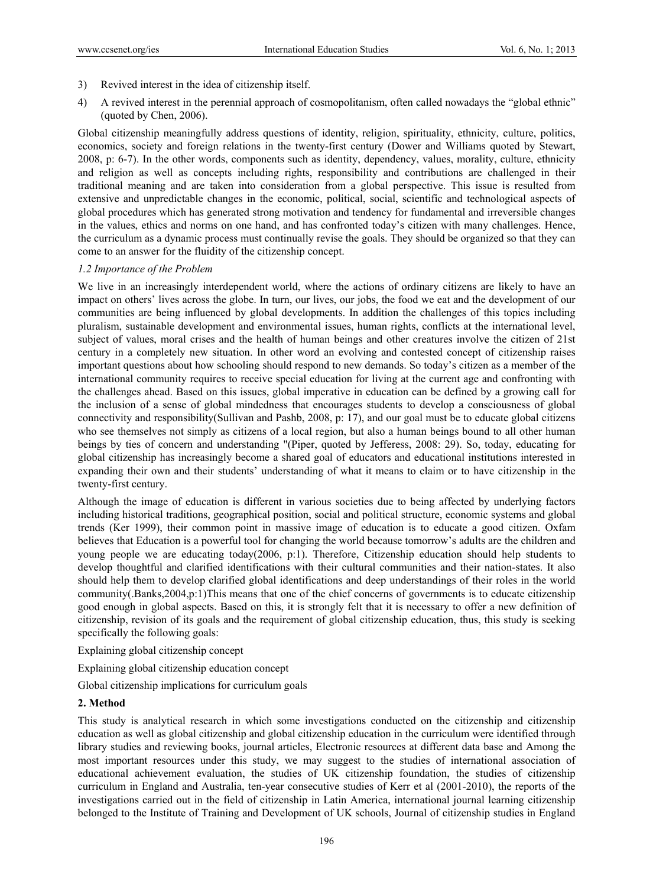- 3) Revived interest in the idea of citizenship itself.
- 4) A revived interest in the perennial approach of cosmopolitanism, often called nowadays the "global ethnic" (quoted by Chen, 2006).

Global citizenship meaningfully address questions of identity, religion, spirituality, ethnicity, culture, politics, economics, society and foreign relations in the twenty-first century (Dower and Williams quoted by Stewart, 2008, p: 6-7). In the other words, components such as identity, dependency, values, morality, culture, ethnicity and religion as well as concepts including rights, responsibility and contributions are challenged in their traditional meaning and are taken into consideration from a global perspective. This issue is resulted from extensive and unpredictable changes in the economic, political, social, scientific and technological aspects of global procedures which has generated strong motivation and tendency for fundamental and irreversible changes in the values, ethics and norms on one hand, and has confronted today's citizen with many challenges. Hence, the curriculum as a dynamic process must continually revise the goals. They should be organized so that they can come to an answer for the fluidity of the citizenship concept.

## *1.2 Importance of the Problem*

We live in an increasingly interdependent world, where the actions of ordinary citizens are likely to have an impact on others' lives across the globe. In turn, our lives, our jobs, the food we eat and the development of our communities are being influenced by global developments. In addition the challenges of this topics including pluralism, sustainable development and environmental issues, human rights, conflicts at the international level, subject of values, moral crises and the health of human beings and other creatures involve the citizen of 21st century in a completely new situation. In other word an evolving and contested concept of citizenship raises important questions about how schooling should respond to new demands. So today's citizen as a member of the international community requires to receive special education for living at the current age and confronting with the challenges ahead. Based on this issues, global imperative in education can be defined by a growing call for the inclusion of a sense of global mindedness that encourages students to develop a consciousness of global connectivity and responsibility(Sullivan and Pashb, 2008, p: 17), and our goal must be to educate global citizens who see themselves not simply as citizens of a local region, but also a human beings bound to all other human beings by ties of concern and understanding "(Piper, quoted by Jefferess, 2008: 29). So, today, educating for global citizenship has increasingly become a shared goal of educators and educational institutions interested in expanding their own and their students' understanding of what it means to claim or to have citizenship in the twenty-first century.

Although the image of education is different in various societies due to being affected by underlying factors including historical traditions, geographical position, social and political structure, economic systems and global trends (Ker 1999), their common point in massive image of education is to educate a good citizen. Oxfam believes that Education is a powerful tool for changing the world because tomorrow's adults are the children and young people we are educating today(2006, p:1). Therefore, Citizenship education should help students to develop thoughtful and clarified identifications with their cultural communities and their nation-states. It also should help them to develop clarified global identifications and deep understandings of their roles in the world community(.Banks,2004,p:1)This means that one of the chief concerns of governments is to educate citizenship good enough in global aspects. Based on this, it is strongly felt that it is necessary to offer a new definition of citizenship, revision of its goals and the requirement of global citizenship education, thus, this study is seeking specifically the following goals:

Explaining global citizenship concept

Explaining global citizenship education concept

Global citizenship implications for curriculum goals

## **2. Method**

This study is analytical research in which some investigations conducted on the citizenship and citizenship education as well as global citizenship and global citizenship education in the curriculum were identified through library studies and reviewing books, journal articles, Electronic resources at different data base and Among the most important resources under this study, we may suggest to the studies of international association of educational achievement evaluation, the studies of UK citizenship foundation, the studies of citizenship curriculum in England and Australia, ten-year consecutive studies of Kerr et al (2001-2010), the reports of the investigations carried out in the field of citizenship in Latin America, international journal learning citizenship belonged to the Institute of Training and Development of UK schools, Journal of citizenship studies in England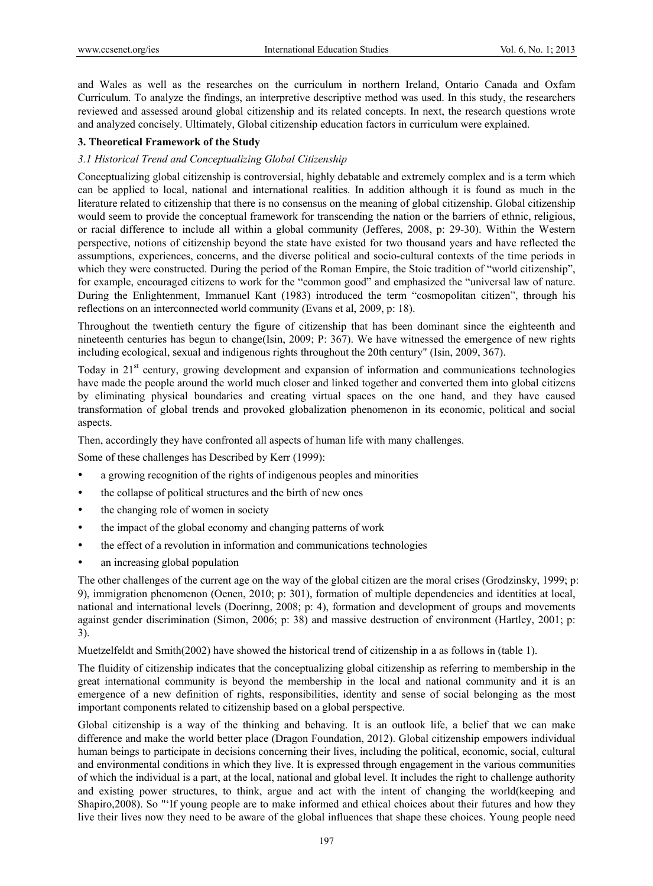and Wales as well as the researches on the curriculum in northern Ireland, Ontario Canada and Oxfam Curriculum. To analyze the findings, an interpretive descriptive method was used. In this study, the researchers reviewed and assessed around global citizenship and its related concepts. In next, the research questions wrote and analyzed concisely. Ultimately, Global citizenship education factors in curriculum were explained.

## **3. Theoretical Framework of the Study**

#### *3.1 Historical Trend and Conceptualizing Global Citizenship*

Conceptualizing global citizenship is controversial, highly debatable and extremely complex and is a term which can be applied to local, national and international realities. In addition although it is found as much in the literature related to citizenship that there is no consensus on the meaning of global citizenship. Global citizenship would seem to provide the conceptual framework for transcending the nation or the barriers of ethnic, religious, or racial difference to include all within a global community (Jefferes, 2008, p: 29-30). Within the Western perspective, notions of citizenship beyond the state have existed for two thousand years and have reflected the assumptions, experiences, concerns, and the diverse political and socio-cultural contexts of the time periods in which they were constructed. During the period of the Roman Empire, the Stoic tradition of "world citizenship", for example, encouraged citizens to work for the "common good" and emphasized the "universal law of nature. During the Enlightenment, Immanuel Kant (1983) introduced the term "cosmopolitan citizen", through his reflections on an interconnected world community (Evans et al, 2009, p: 18).

Throughout the twentieth century the figure of citizenship that has been dominant since the eighteenth and nineteenth centuries has begun to change(Isin, 2009; P: 367). We have witnessed the emergence of new rights including ecological, sexual and indigenous rights throughout the 20th century" (Isin, 2009, 367).

Today in 21<sup>st</sup> century, growing development and expansion of information and communications technologies have made the people around the world much closer and linked together and converted them into global citizens by eliminating physical boundaries and creating virtual spaces on the one hand, and they have caused transformation of global trends and provoked globalization phenomenon in its economic, political and social aspects.

Then, accordingly they have confronted all aspects of human life with many challenges.

Some of these challenges has Described by Kerr (1999):

- a growing recognition of the rights of indigenous peoples and minorities
- the collapse of political structures and the birth of new ones
- the changing role of women in society
- the impact of the global economy and changing patterns of work
- the effect of a revolution in information and communications technologies
- an increasing global population

The other challenges of the current age on the way of the global citizen are the moral crises (Grodzinsky, 1999; p: 9), immigration phenomenon (Oenen, 2010; p: 301), formation of multiple dependencies and identities at local, national and international levels (Doerinng, 2008; p: 4), formation and development of groups and movements against gender discrimination (Simon, 2006; p: 38) and massive destruction of environment (Hartley, 2001; p: 3).

Muetzelfeldt and Smith(2002) have showed the historical trend of citizenship in a as follows in (table 1).

The fluidity of citizenship indicates that the conceptualizing global citizenship as referring to membership in the great international community is beyond the membership in the local and national community and it is an emergence of a new definition of rights, responsibilities, identity and sense of social belonging as the most important components related to citizenship based on a global perspective.

Global citizenship is a way of the thinking and behaving. It is an outlook life, a belief that we can make difference and make the world better place (Dragon Foundation, 2012). Global citizenship empowers individual human beings to participate in decisions concerning their lives, including the political, economic, social, cultural and environmental conditions in which they live. It is expressed through engagement in the various communities of which the individual is a part, at the local, national and global level. It includes the right to challenge authority and existing power structures, to think, argue and act with the intent of changing the world(keeping and Shapiro,2008). So "'If young people are to make informed and ethical choices about their futures and how they live their lives now they need to be aware of the global influences that shape these choices. Young people need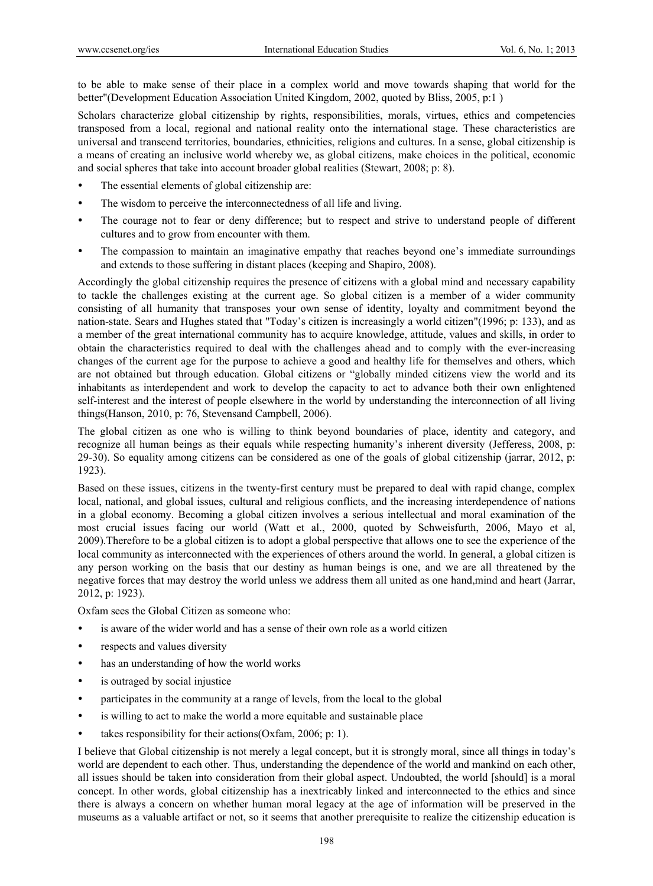to be able to make sense of their place in a complex world and move towards shaping that world for the better"(Development Education Association United Kingdom, 2002, quoted by Bliss, 2005, p:1 )

Scholars characterize global citizenship by rights, responsibilities, morals, virtues, ethics and competencies transposed from a local, regional and national reality onto the international stage. These characteristics are universal and transcend territories, boundaries, ethnicities, religions and cultures. In a sense, global citizenship is a means of creating an inclusive world whereby we, as global citizens, make choices in the political, economic and social spheres that take into account broader global realities (Stewart, 2008; p: 8).

- The essential elements of global citizenship are:
- The wisdom to perceive the interconnectedness of all life and living.
- The courage not to fear or deny difference; but to respect and strive to understand people of different cultures and to grow from encounter with them.
- The compassion to maintain an imaginative empathy that reaches beyond one's immediate surroundings and extends to those suffering in distant places (keeping and Shapiro, 2008).

Accordingly the global citizenship requires the presence of citizens with a global mind and necessary capability to tackle the challenges existing at the current age. So global citizen is a member of a wider community consisting of all humanity that transposes your own sense of identity, loyalty and commitment beyond the nation-state. Sears and Hughes stated that "Today's citizen is increasingly a world citizen"(1996; p: 133), and as a member of the great international community has to acquire knowledge, attitude, values and skills, in order to obtain the characteristics required to deal with the challenges ahead and to comply with the ever-increasing changes of the current age for the purpose to achieve a good and healthy life for themselves and others, which are not obtained but through education. Global citizens or "globally minded citizens view the world and its inhabitants as interdependent and work to develop the capacity to act to advance both their own enlightened self-interest and the interest of people elsewhere in the world by understanding the interconnection of all living things(Hanson, 2010, p: 76, Stevensand Campbell, 2006).

The global citizen as one who is willing to think beyond boundaries of place, identity and category, and recognize all human beings as their equals while respecting humanity's inherent diversity (Jefferess, 2008, p: 29-30). So equality among citizens can be considered as one of the goals of global citizenship (jarrar, 2012, p: 1923).

Based on these issues, citizens in the twenty-first century must be prepared to deal with rapid change, complex local, national, and global issues, cultural and religious conflicts, and the increasing interdependence of nations in a global economy. Becoming a global citizen involves a serious intellectual and moral examination of the most crucial issues facing our world (Watt et al., 2000, quoted by Schweisfurth, 2006, Mayo et al, 2009).Therefore to be a global citizen is to adopt a global perspective that allows one to see the experience of the local community as interconnected with the experiences of others around the world. In general, a global citizen is any person working on the basis that our destiny as human beings is one, and we are all threatened by the negative forces that may destroy the world unless we address them all united as one hand,mind and heart (Jarrar, 2012, p: 1923).

Oxfam sees the Global Citizen as someone who:

- is aware of the wider world and has a sense of their own role as a world citizen
- respects and values diversity
- has an understanding of how the world works
- is outraged by social injustice
- participates in the community at a range of levels, from the local to the global
- is willing to act to make the world a more equitable and sustainable place
- takes responsibility for their actions(Oxfam, 2006; p: 1).

I believe that Global citizenship is not merely a legal concept, but it is strongly moral, since all things in today's world are dependent to each other. Thus, understanding the dependence of the world and mankind on each other, all issues should be taken into consideration from their global aspect. Undoubted, the world [should] is a moral concept. In other words, global citizenship has a inextricably linked and interconnected to the ethics and since there is always a concern on whether human moral legacy at the age of information will be preserved in the museums as a valuable artifact or not, so it seems that another prerequisite to realize the citizenship education is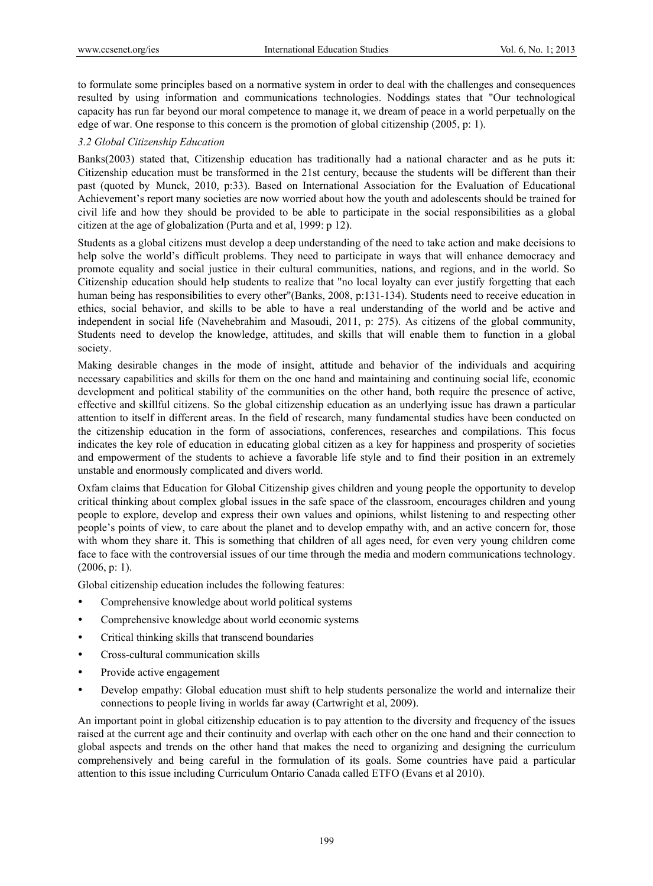to formulate some principles based on a normative system in order to deal with the challenges and consequences resulted by using information and communications technologies. Noddings states that "Our technological capacity has run far beyond our moral competence to manage it, we dream of peace in a world perpetually on the edge of war. One response to this concern is the promotion of global citizenship (2005, p: 1).

#### *3.2 Global Citizenship Education*

Banks(2003) stated that, Citizenship education has traditionally had a national character and as he puts it: Citizenship education must be transformed in the 21st century, because the students will be different than their past (quoted by Munck, 2010, p:33). Based on International Association for the Evaluation of Educational Achievement's report many societies are now worried about how the youth and adolescents should be trained for civil life and how they should be provided to be able to participate in the social responsibilities as a global citizen at the age of globalization (Purta and et al, 1999: p 12).

Students as a global citizens must develop a deep understanding of the need to take action and make decisions to help solve the world's difficult problems. They need to participate in ways that will enhance democracy and promote equality and social justice in their cultural communities, nations, and regions, and in the world. So Citizenship education should help students to realize that "no local loyalty can ever justify forgetting that each human being has responsibilities to every other"(Banks, 2008, p:131-134). Students need to receive education in ethics, social behavior, and skills to be able to have a real understanding of the world and be active and independent in social life (Navehebrahim and Masoudi, 2011, p: 275). As citizens of the global community, Students need to develop the knowledge, attitudes, and skills that will enable them to function in a global society.

Making desirable changes in the mode of insight, attitude and behavior of the individuals and acquiring necessary capabilities and skills for them on the one hand and maintaining and continuing social life, economic development and political stability of the communities on the other hand, both require the presence of active, effective and skillful citizens. So the global citizenship education as an underlying issue has drawn a particular attention to itself in different areas. In the field of research, many fundamental studies have been conducted on the citizenship education in the form of associations, conferences, researches and compilations. This focus indicates the key role of education in educating global citizen as a key for happiness and prosperity of societies and empowerment of the students to achieve a favorable life style and to find their position in an extremely unstable and enormously complicated and divers world.

Oxfam claims that Education for Global Citizenship gives children and young people the opportunity to develop critical thinking about complex global issues in the safe space of the classroom, encourages children and young people to explore, develop and express their own values and opinions, whilst listening to and respecting other people's points of view, to care about the planet and to develop empathy with, and an active concern for, those with whom they share it. This is something that children of all ages need, for even very young children come face to face with the controversial issues of our time through the media and modern communications technology. (2006, p: 1).

Global citizenship education includes the following features:

- Comprehensive knowledge about world political systems
- Comprehensive knowledge about world economic systems
- Critical thinking skills that transcend boundaries
- Cross-cultural communication skills
- Provide active engagement
- Develop empathy: Global education must shift to help students personalize the world and internalize their connections to people living in worlds far away (Cartwright et al, 2009).

An important point in global citizenship education is to pay attention to the diversity and frequency of the issues raised at the current age and their continuity and overlap with each other on the one hand and their connection to global aspects and trends on the other hand that makes the need to organizing and designing the curriculum comprehensively and being careful in the formulation of its goals. Some countries have paid a particular attention to this issue including Curriculum Ontario Canada called ETFO (Evans et al 2010).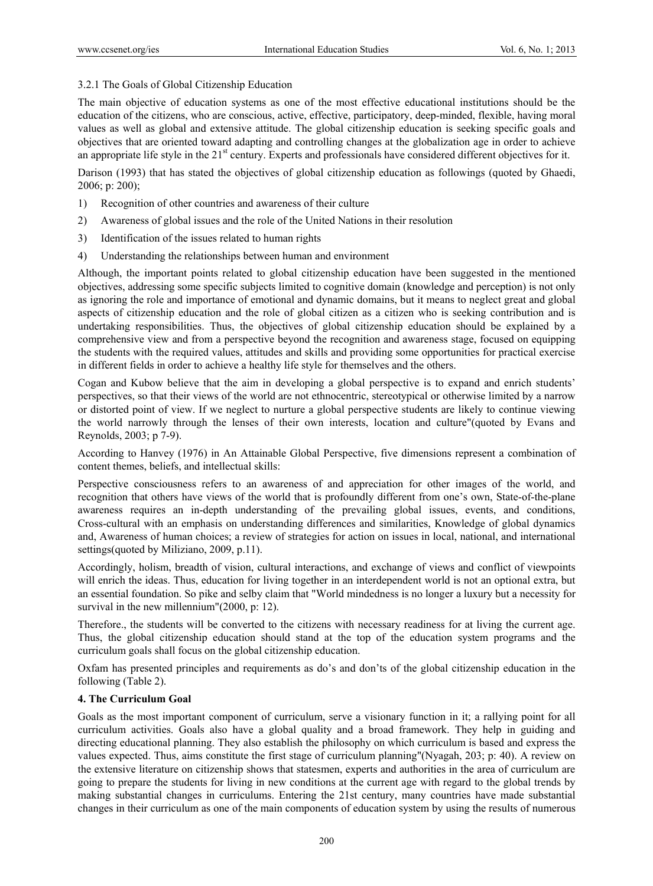## 3.2.1 The Goals of Global Citizenship Education

The main objective of education systems as one of the most effective educational institutions should be the education of the citizens, who are conscious, active, effective, participatory, deep-minded, flexible, having moral values as well as global and extensive attitude. The global citizenship education is seeking specific goals and objectives that are oriented toward adapting and controlling changes at the globalization age in order to achieve an appropriate life style in the  $21<sup>st</sup>$  century. Experts and professionals have considered different objectives for it.

Darison (1993) that has stated the objectives of global citizenship education as followings (quoted by Ghaedi, 2006; p: 200);

- 1) Recognition of other countries and awareness of their culture
- 2) Awareness of global issues and the role of the United Nations in their resolution
- 3) Identification of the issues related to human rights
- 4) Understanding the relationships between human and environment

Although, the important points related to global citizenship education have been suggested in the mentioned objectives, addressing some specific subjects limited to cognitive domain (knowledge and perception) is not only as ignoring the role and importance of emotional and dynamic domains, but it means to neglect great and global aspects of citizenship education and the role of global citizen as a citizen who is seeking contribution and is undertaking responsibilities. Thus, the objectives of global citizenship education should be explained by a comprehensive view and from a perspective beyond the recognition and awareness stage, focused on equipping the students with the required values, attitudes and skills and providing some opportunities for practical exercise in different fields in order to achieve a healthy life style for themselves and the others.

Cogan and Kubow believe that the aim in developing a global perspective is to expand and enrich students' perspectives, so that their views of the world are not ethnocentric, stereotypical or otherwise limited by a narrow or distorted point of view. If we neglect to nurture a global perspective students are likely to continue viewing the world narrowly through the lenses of their own interests, location and culture"(quoted by Evans and Reynolds, 2003; p 7-9).

According to Hanvey (1976) in An Attainable Global Perspective, five dimensions represent a combination of content themes, beliefs, and intellectual skills:

Perspective consciousness refers to an awareness of and appreciation for other images of the world, and recognition that others have views of the world that is profoundly different from one's own, State-of-the-plane awareness requires an in-depth understanding of the prevailing global issues, events, and conditions, Cross-cultural with an emphasis on understanding differences and similarities, Knowledge of global dynamics and, Awareness of human choices; a review of strategies for action on issues in local, national, and international settings(quoted by Miliziano, 2009, p.11).

Accordingly, holism, breadth of vision, cultural interactions, and exchange of views and conflict of viewpoints will enrich the ideas. Thus, education for living together in an interdependent world is not an optional extra, but an essential foundation. So pike and selby claim that "World mindedness is no longer a luxury but a necessity for survival in the new millennium"(2000, p: 12).

Therefore., the students will be converted to the citizens with necessary readiness for at living the current age. Thus, the global citizenship education should stand at the top of the education system programs and the curriculum goals shall focus on the global citizenship education.

Oxfam has presented principles and requirements as do's and don'ts of the global citizenship education in the following (Table 2).

## **4. The Curriculum Goal**

Goals as the most important component of curriculum, serve a visionary function in it; a rallying point for all curriculum activities. Goals also have a global quality and a broad framework. They help in guiding and directing educational planning. They also establish the philosophy on which curriculum is based and express the values expected. Thus, aims constitute the first stage of curriculum planning"(Nyagah, 203; p: 40). A review on the extensive literature on citizenship shows that statesmen, experts and authorities in the area of curriculum are going to prepare the students for living in new conditions at the current age with regard to the global trends by making substantial changes in curriculums. Entering the 21st century, many countries have made substantial changes in their curriculum as one of the main components of education system by using the results of numerous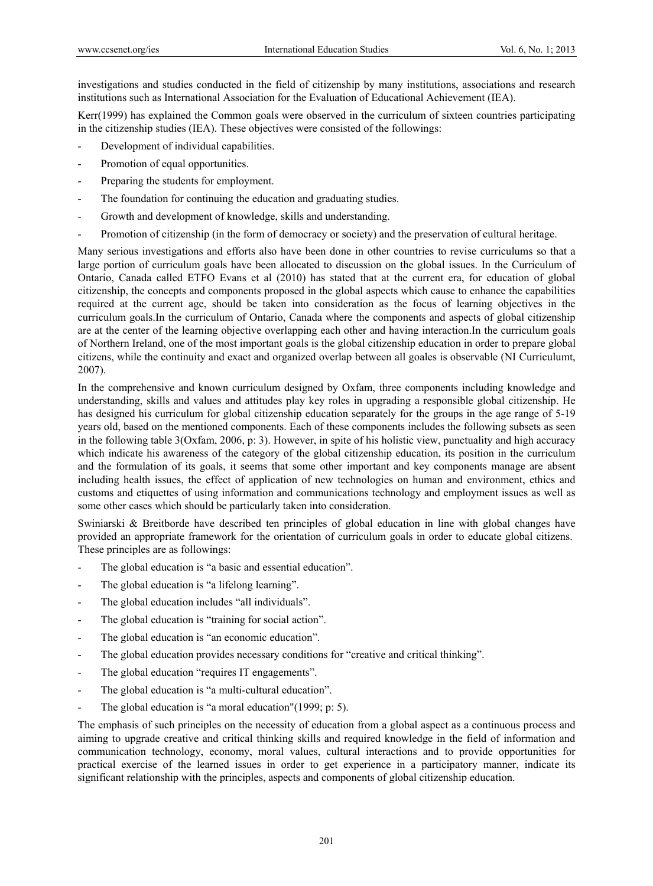investigations and studies conducted in the field of citizenship by many institutions, associations and research institutions such as International Association for the Evaluation of Educational Achievement (IEA).

Kerr(1999) has explained the Common goals were observed in the curriculum of sixteen countries participating in the citizenship studies (IEA). These objectives were consisted of the followings:

- Development of individual capabilities.
- Promotion of equal opportunities.
- Preparing the students for employment.
- The foundation for continuing the education and graduating studies.
- Growth and development of knowledge, skills and understanding.
- Promotion of citizenship (in the form of democracy or society) and the preservation of cultural heritage.

Many serious investigations and efforts also have been done in other countries to revise curriculums so that a large portion of curriculum goals have been allocated to discussion on the global issues. In the Curriculum of Ontario, Canada called ETFO Evans et al (2010) has stated that at the current era, for education of global citizenship, the concepts and components proposed in the global aspects which cause to enhance the capabilities required at the current age, should be taken into consideration as the focus of learning objectives in the curriculum goals.In the curriculum of Ontario, Canada where the components and aspects of global citizenship are at the center of the learning objective overlapping each other and having interaction.In the curriculum goals of Northern Ireland, one of the most important goals is the global citizenship education in order to prepare global citizens, while the continuity and exact and organized overlap between all goales is observable (NI Curriculumt, 2007).

In the comprehensive and known curriculum designed by Oxfam, three components including knowledge and understanding, skills and values and attitudes play key roles in upgrading a responsible global citizenship. He has designed his curriculum for global citizenship education separately for the groups in the age range of 5-19 years old, based on the mentioned components. Each of these components includes the following subsets as seen in the following table 3(Oxfam, 2006, p: 3). However, in spite of his holistic view, punctuality and high accuracy which indicate his awareness of the category of the global citizenship education, its position in the curriculum and the formulation of its goals, it seems that some other important and key components manage are absent including health issues, the effect of application of new technologies on human and environment, ethics and customs and etiquettes of using information and communications technology and employment issues as well as some other cases which should be particularly taken into consideration.

Swiniarski & Breitborde have described ten principles of global education in line with global changes have provided an appropriate framework for the orientation of curriculum goals in order to educate global citizens. These principles are as followings:

- The global education is "a basic and essential education".
- The global education is "a lifelong learning".
- The global education includes "all individuals".
- The global education is "training for social action".
- The global education is "an economic education".
- The global education provides necessary conditions for "creative and critical thinking".
- The global education "requires IT engagements".
- The global education is "a multi-cultural education".
- The global education is "a moral education"(1999; p: 5).

The emphasis of such principles on the necessity of education from a global aspect as a continuous process and aiming to upgrade creative and critical thinking skills and required knowledge in the field of information and communication technology, economy, moral values, cultural interactions and to provide opportunities for practical exercise of the learned issues in order to get experience in a participatory manner, indicate its significant relationship with the principles, aspects and components of global citizenship education.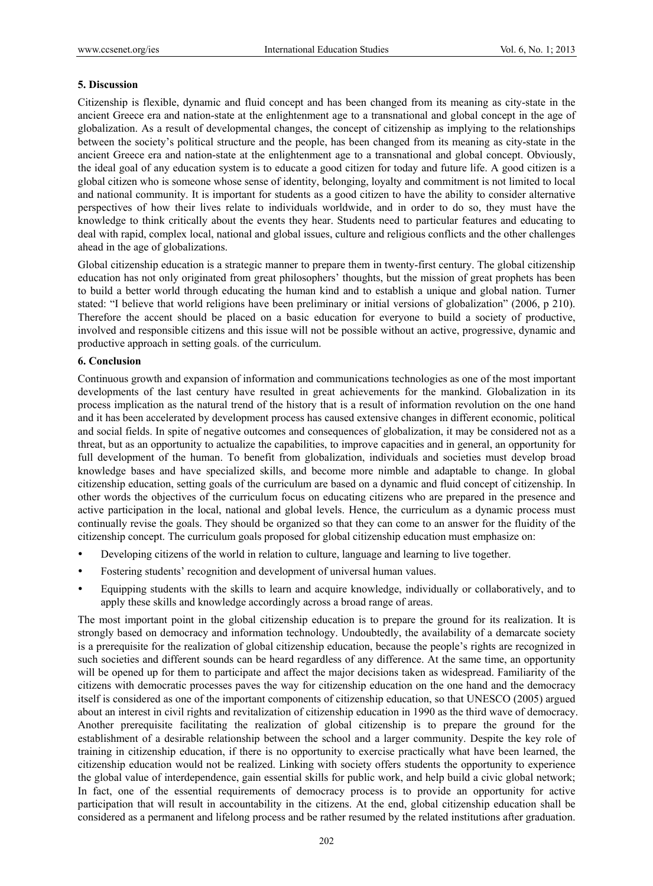## **5. Discussion**

Citizenship is flexible, dynamic and fluid concept and has been changed from its meaning as city-state in the ancient Greece era and nation-state at the enlightenment age to a transnational and global concept in the age of globalization. As a result of developmental changes, the concept of citizenship as implying to the relationships between the society's political structure and the people, has been changed from its meaning as city-state in the ancient Greece era and nation-state at the enlightenment age to a transnational and global concept. Obviously, the ideal goal of any education system is to educate a good citizen for today and future life. A good citizen is a global citizen who is someone whose sense of identity, belonging, loyalty and commitment is not limited to local and national community. It is important for students as a good citizen to have the ability to consider alternative perspectives of how their lives relate to individuals worldwide, and in order to do so, they must have the knowledge to think critically about the events they hear. Students need to particular features and educating to deal with rapid, complex local, national and global issues, culture and religious conflicts and the other challenges ahead in the age of globalizations.

Global citizenship education is a strategic manner to prepare them in twenty-first century. The global citizenship education has not only originated from great philosophers' thoughts, but the mission of great prophets has been to build a better world through educating the human kind and to establish a unique and global nation. Turner stated: "I believe that world religions have been preliminary or initial versions of globalization" (2006, p 210). Therefore the accent should be placed on a basic education for everyone to build a society of productive, involved and responsible citizens and this issue will not be possible without an active, progressive, dynamic and productive approach in setting goals. of the curriculum.

## **6. Conclusion**

Continuous growth and expansion of information and communications technologies as one of the most important developments of the last century have resulted in great achievements for the mankind. Globalization in its process implication as the natural trend of the history that is a result of information revolution on the one hand and it has been accelerated by development process has caused extensive changes in different economic, political and social fields. In spite of negative outcomes and consequences of globalization, it may be considered not as a threat, but as an opportunity to actualize the capabilities, to improve capacities and in general, an opportunity for full development of the human. To benefit from globalization, individuals and societies must develop broad knowledge bases and have specialized skills, and become more nimble and adaptable to change. In global citizenship education, setting goals of the curriculum are based on a dynamic and fluid concept of citizenship. In other words the objectives of the curriculum focus on educating citizens who are prepared in the presence and active participation in the local, national and global levels. Hence, the curriculum as a dynamic process must continually revise the goals. They should be organized so that they can come to an answer for the fluidity of the citizenship concept. The curriculum goals proposed for global citizenship education must emphasize on:

- Developing citizens of the world in relation to culture, language and learning to live together.
- Fostering students' recognition and development of universal human values.
- Equipping students with the skills to learn and acquire knowledge, individually or collaboratively, and to apply these skills and knowledge accordingly across a broad range of areas.

The most important point in the global citizenship education is to prepare the ground for its realization. It is strongly based on democracy and information technology. Undoubtedly, the availability of a demarcate society is a prerequisite for the realization of global citizenship education, because the people's rights are recognized in such societies and different sounds can be heard regardless of any difference. At the same time, an opportunity will be opened up for them to participate and affect the major decisions taken as widespread. Familiarity of the citizens with democratic processes paves the way for citizenship education on the one hand and the democracy itself is considered as one of the important components of citizenship education, so that UNESCO (2005) argued about an interest in civil rights and revitalization of citizenship education in 1990 as the third wave of democracy. Another prerequisite facilitating the realization of global citizenship is to prepare the ground for the establishment of a desirable relationship between the school and a larger community. Despite the key role of training in citizenship education, if there is no opportunity to exercise practically what have been learned, the citizenship education would not be realized. Linking with society offers students the opportunity to experience the global value of interdependence, gain essential skills for public work, and help build a civic global network; In fact, one of the essential requirements of democracy process is to provide an opportunity for active participation that will result in accountability in the citizens. At the end, global citizenship education shall be considered as a permanent and lifelong process and be rather resumed by the related institutions after graduation.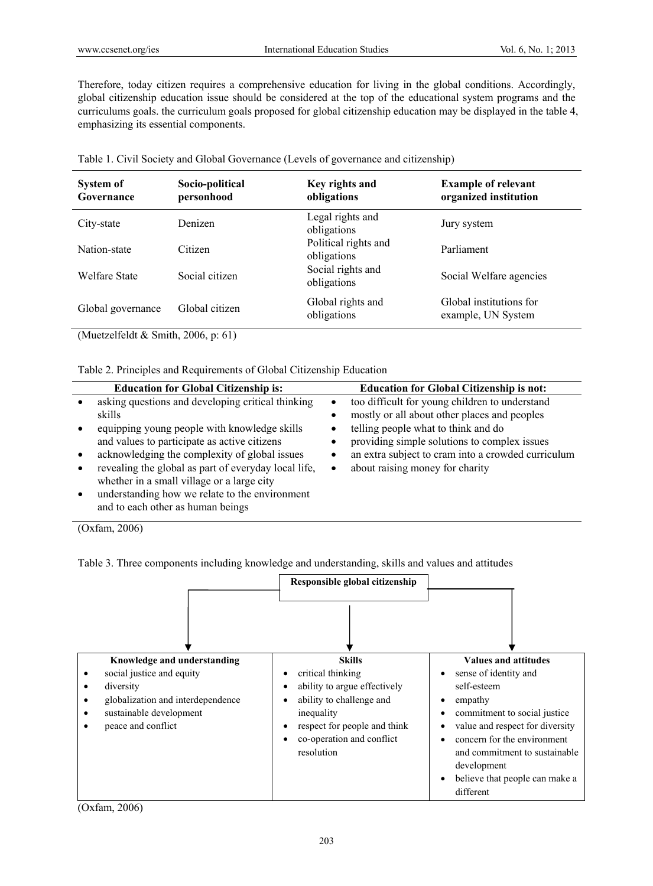Therefore, today citizen requires a comprehensive education for living in the global conditions. Accordingly, global citizenship education issue should be considered at the top of the educational system programs and the curriculums goals. the curriculum goals proposed for global citizenship education may be displayed in the table 4, emphasizing its essential components.

| Table 1. Civil Society and Global Governance (Levels of governance and citizenship) |
|-------------------------------------------------------------------------------------|
|-------------------------------------------------------------------------------------|

| System of<br>Governance | Socio-political<br>personhood | Key rights and<br>obligations       | <b>Example of relevant</b><br>organized institution |
|-------------------------|-------------------------------|-------------------------------------|-----------------------------------------------------|
| City-state              | Denizen                       | Legal rights and<br>obligations     | Jury system                                         |
| Nation-state            | Citizen                       | Political rights and<br>obligations | Parliament                                          |
| <b>Welfare State</b>    | Social citizen                | Social rights and<br>obligations    | Social Welfare agencies                             |
| Global governance       | Global citizen                | Global rights and<br>obligations    | Global institutions for<br>example, UN System       |

(Muetzelfeldt & Smith, 2006, p: 61)

Table 2. Principles and Requirements of Global Citizenship Education

|           | <b>Education for Global Citizenship is:</b>          |   | <b>Education for Global Citizenship is not:</b>    |
|-----------|------------------------------------------------------|---|----------------------------------------------------|
|           | asking questions and developing critical thinking    |   | too difficult for young children to understand     |
|           | skills                                               |   | mostly or all about other places and peoples       |
| $\bullet$ | equipping young people with knowledge skills         |   | telling people what to think and do                |
|           | and values to participate as active citizens         |   | providing simple solutions to complex issues       |
|           | acknowledging the complexity of global issues        | ٠ | an extra subject to cram into a crowded curriculum |
|           | revealing the global as part of everyday local life, | ٠ | about raising money for charity                    |
|           | whether in a small village or a large city           |   |                                                    |
| $\bullet$ | understanding how we relate to the environment       |   |                                                    |
|           | and to each other as human beings                    |   |                                                    |

(Oxfam, 2006)

Table 3. Three components including knowledge and understanding, skills and values and attitudes



(Oxfam, 2006)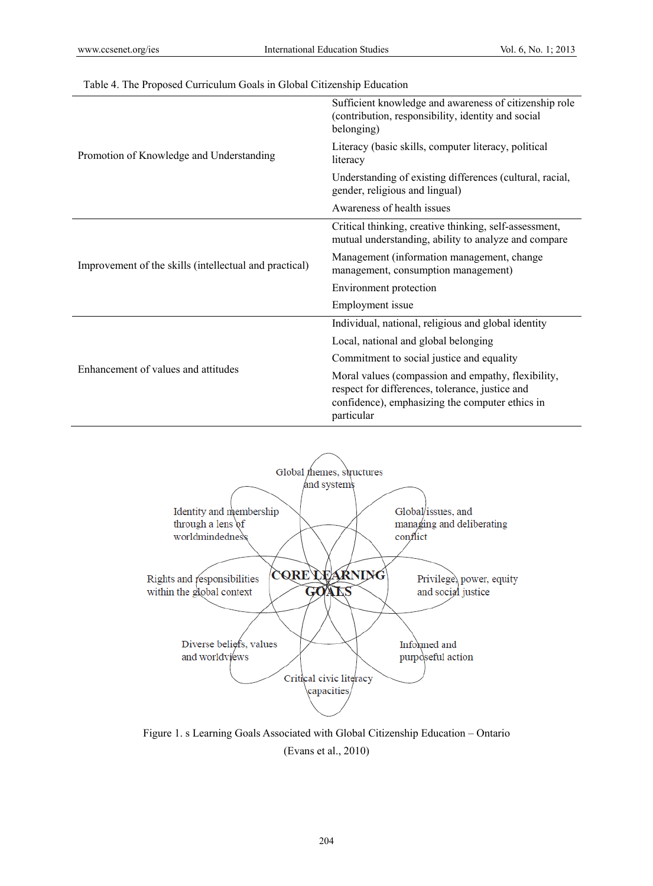| Tuble +. The Floposed Curriculum Obais in Olobal Chizenship Education |                                                                                                                                                                        |  |  |  |
|-----------------------------------------------------------------------|------------------------------------------------------------------------------------------------------------------------------------------------------------------------|--|--|--|
|                                                                       | Sufficient knowledge and awareness of citizenship role<br>(contribution, responsibility, identity and social<br>belonging)                                             |  |  |  |
| Promotion of Knowledge and Understanding                              | Literacy (basic skills, computer literacy, political<br>literacy                                                                                                       |  |  |  |
|                                                                       | Understanding of existing differences (cultural, racial,<br>gender, religious and lingual)                                                                             |  |  |  |
|                                                                       | Awareness of health issues                                                                                                                                             |  |  |  |
|                                                                       | Critical thinking, creative thinking, self-assessment,<br>mutual understanding, ability to analyze and compare                                                         |  |  |  |
| Improvement of the skills (intellectual and practical)                | Management (information management, change<br>management, consumption management)                                                                                      |  |  |  |
|                                                                       | Environment protection                                                                                                                                                 |  |  |  |
|                                                                       | Employment issue                                                                                                                                                       |  |  |  |
|                                                                       | Individual, national, religious and global identity                                                                                                                    |  |  |  |
|                                                                       | Local, national and global belonging                                                                                                                                   |  |  |  |
|                                                                       | Commitment to social justice and equality                                                                                                                              |  |  |  |
| Enhancement of values and attitudes                                   | Moral values (compassion and empathy, flexibility,<br>respect for differences, tolerance, justice and<br>confidence), emphasizing the computer ethics in<br>particular |  |  |  |

#### Table 4. The Proposed Curriculum Goals in Global Citizenship Education



Figure 1. s Learning Goals Associated with Global Citizenship Education – Ontario (Evans et al., 2010)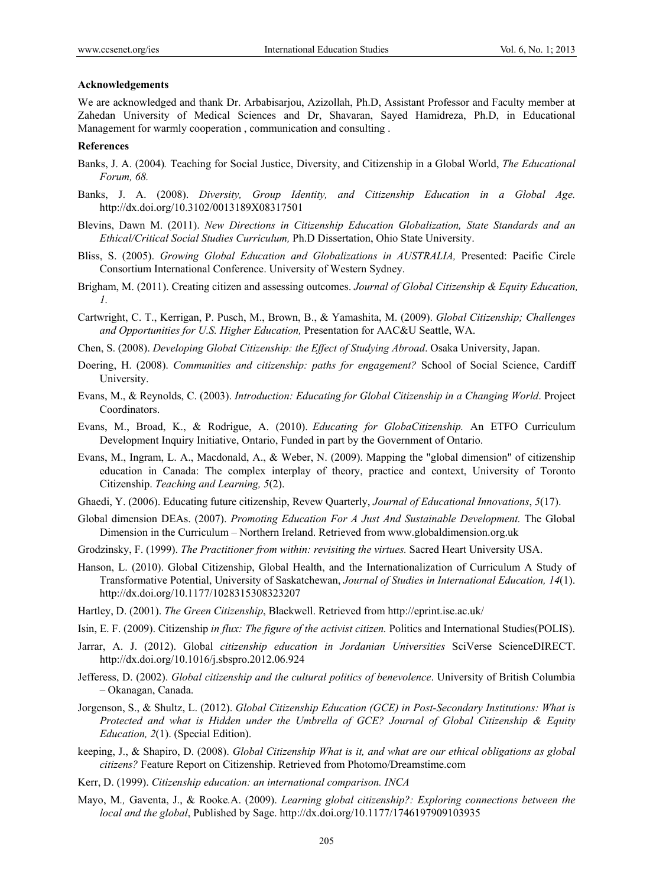#### **Acknowledgements**

We are acknowledged and thank Dr. Arbabisarjou, Azizollah, Ph.D, Assistant Professor and Faculty member at Zahedan University of Medical Sciences and Dr, Shavaran, Sayed Hamidreza, Ph.D, in Educational Management for warmly cooperation , communication and consulting .

#### **References**

- Banks, J. A. (2004)*.* Teaching for Social Justice, Diversity, and Citizenship in a Global World, *The Educational Forum, 68.*
- Banks, J. A. (2008). *Diversity, Group Identity, and Citizenship Education in a Global Age.* http://dx.doi.org/10.3102/0013189X08317501
- Blevins, Dawn M. (2011). *New Directions in Citizenship Education Globalization, State Standards and an Ethical/Critical Social Studies Curriculum,* Ph.D Dissertation, Ohio State University.
- Bliss, S. (2005). *Growing Global Education and Globalizations in AUSTRALIA,* Presented: Pacific Circle Consortium International Conference. University of Western Sydney.
- Brigham, M. (2011). Creating citizen and assessing outcomes. *Journal of Global Citizenship & Equity Education, 1.*
- Cartwright, C. T., Kerrigan, P. Pusch, M., Brown, B., & Yamashita, M. (2009). *Global Citizenship; Challenges and Opportunities for U.S. Higher Education,* Presentation for AAC&U Seattle, WA.
- Chen, S. (2008). *Developing Global Citizenship: the Effect of Studying Abroad*. Osaka University, Japan.
- Doering, H. (2008). *Communities and citizenship: paths for engagement?* School of Social Science, Cardiff University.
- Evans, M., & Reynolds, C. (2003). *Introduction: Educating for Global Citizenship in a Changing World*. Project Coordinators.
- Evans, M., Broad, K., & Rodrigue, A. (2010). *Educating for GlobaCitizenship.* An ETFO Curriculum Development Inquiry Initiative, Ontario, Funded in part by the Government of Ontario.
- Evans, M., Ingram, L. A., Macdonald, A., & Weber, N. (2009). Mapping the "global dimension" of citizenship education in Canada: The complex interplay of theory, practice and context, University of Toronto Citizenship. *Teaching and Learning, 5*(2).
- Ghaedi, Y. (2006). Educating future citizenship, Revew Quarterly, *Journal of Educational Innovations*, *5*(17).
- Global dimension DEAs. (2007). *Promoting Education For A Just And Sustainable Development.* The Global Dimension in the Curriculum – Northern Ireland. Retrieved from www.globaldimension.org.uk
- Grodzinsky, F. (1999). *The Practitioner from within: revisiting the virtues.* Sacred Heart University USA.
- Hanson, L. (2010). Global Citizenship, Global Health, and the Internationalization of Curriculum A Study of Transformative Potential, University of Saskatchewan, *Journal of Studies in International Education, 14*(1). http://dx.doi.org/10.1177/1028315308323207
- Hartley, D. (2001). *The Green Citizenship*, Blackwell. Retrieved from http://eprint.ise.ac.uk/
- Isin, E. F. (2009). Citizenship *in flux: The figure of the activist citizen.* Politics and International Studies(POLIS).
- Jarrar, A. J. (2012). Global *citizenship education in Jordanian Universities* SciVerse ScienceDIRECT. http://dx.doi.org/10.1016/j.sbspro.2012.06.924
- Jefferess, D. (2002). *Global citizenship and the cultural politics of benevolence*. University of British Columbia – Okanagan, Canada.
- Jorgenson, S., & Shultz, L. (2012). *Global Citizenship Education (GCE) in Post-Secondary Institutions: What is Protected and what is Hidden under the Umbrella of GCE? Journal of Global Citizenship & Equity Education, 2*(1). (Special Edition).
- keeping, J., & Shapiro, D. (2008). *Global Citizenship What is it, and what are our ethical obligations as global citizens?* Feature Report on Citizenship. Retrieved from Photomo/Dreamstime.com
- Kerr, D. (1999). *Citizenship education: an international comparison. INCA*
- Mayo, M*.,* Gaventa, J., & Rooke*.*A. (2009). *Learning global citizenship?: Exploring connections between the local and the global*, Published by Sage. http://dx.doi.org/10.1177/1746197909103935